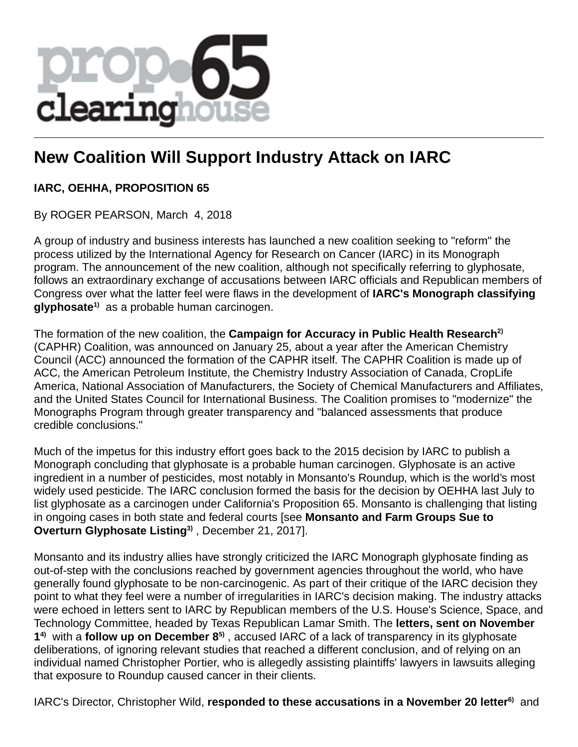

## **New Coalition Will Support Industry Attack on IARC**

## **IARC, OEHHA, PROPOSITION 65**

By ROGER PEARSON, March 4, 2018

A group of industry and business interests has launched a new coalition seeking to "reform" the process utilized by the International Agency for Research on Cancer (IARC) in its Monograph program. The announcement of the new coalition, although not specifically referring to glyphosate, follows an extraordinary exchange of accusations between IARC officials and Republican members of Congress over what the latter feel were flaws in the development of **IARC's Monograph classifying glyphosate1)** as a probable human carcinogen.

The formation of the new coalition, the **Campaign for Accuracy in Public Health Research2)** (CAPHR) Coalition, was announced on January 25, about a year after the American Chemistry Council (ACC) announced the formation of the CAPHR itself. The CAPHR Coalition is made up of ACC, the American Petroleum Institute, the Chemistry Industry Association of Canada, CropLife America, National Association of Manufacturers, the Society of Chemical Manufacturers and Affiliates, and the United States Council for International Business. The Coalition promises to "modernize" the Monographs Program through greater transparency and "balanced assessments that produce credible conclusions."

Much of the impetus for this industry effort goes back to the 2015 decision by IARC to publish a Monograph concluding that glyphosate is a probable human carcinogen. Glyphosate is an active ingredient in a number of pesticides, most notably in Monsanto's Roundup, which is the world's most widely used pesticide. The IARC conclusion formed the basis for the decision by OEHHA last July to list glyphosate as a carcinogen under California's Proposition 65. Monsanto is challenging that listing in ongoing cases in both state and federal courts [see **Monsanto and Farm Groups Sue to Overturn Glyphosate Listing3)** , December 21, 2017].

Monsanto and its industry allies have strongly criticized the IARC Monograph glyphosate finding as out-of-step with the conclusions reached by government agencies throughout the world, who have generally found glyphosate to be non-carcinogenic. As part of their critique of the IARC decision they point to what they feel were a number of irregularities in IARC's decision making. The industry attacks were echoed in letters sent to IARC by Republican members of the U.S. House's Science, Space, and Technology Committee, headed by Texas Republican Lamar Smith. The **letters, sent on November 1 4)** with a **follow up on December 85)** , accused IARC of a lack of transparency in its glyphosate deliberations, of ignoring relevant studies that reached a different conclusion, and of relying on an individual named Christopher Portier, who is allegedly assisting plaintiffs' lawyers in lawsuits alleging that exposure to Roundup caused cancer in their clients.

IARC's Director, Christopher Wild, **responded to these accusations in a November 20 letter6)** and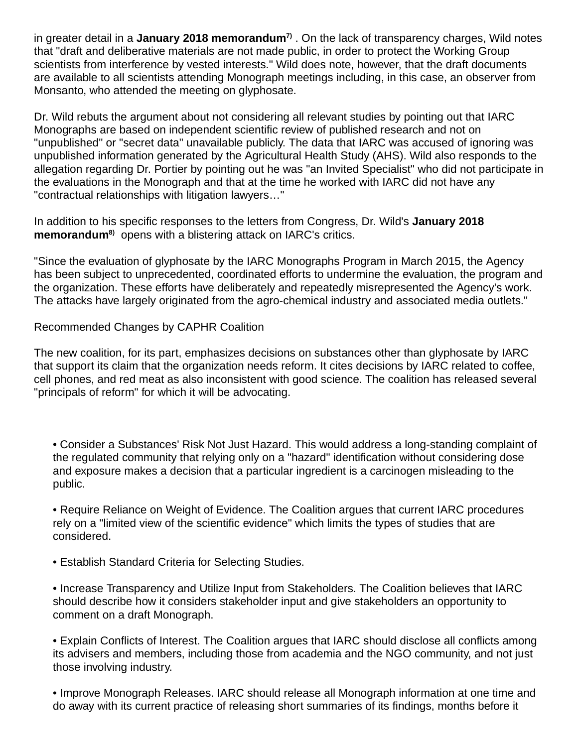in greater detail in a **January 2018 memorandum7)** . On the lack of transparency charges, Wild notes that "draft and deliberative materials are not made public, in order to protect the Working Group scientists from interference by vested interests." Wild does note, however, that the draft documents are available to all scientists attending Monograph meetings including, in this case, an observer from Monsanto, who attended the meeting on glyphosate.

Dr. Wild rebuts the argument about not considering all relevant studies by pointing out that IARC Monographs are based on independent scientific review of published research and not on "unpublished" or "secret data" unavailable publicly. The data that IARC was accused of ignoring was unpublished information generated by the Agricultural Health Study (AHS). Wild also responds to the allegation regarding Dr. Portier by pointing out he was "an Invited Specialist" who did not participate in the evaluations in the Monograph and that at the time he worked with IARC did not have any "contractual relationships with litigation lawyers…"

In addition to his specific responses to the letters from Congress, Dr. Wild's **January 2018 memorandum8)** opens with a blistering attack on IARC's critics.

"Since the evaluation of glyphosate by the IARC Monographs Program in March 2015, the Agency has been subject to unprecedented, coordinated efforts to undermine the evaluation, the program and the organization. These efforts have deliberately and repeatedly misrepresented the Agency's work. The attacks have largely originated from the agro-chemical industry and associated media outlets."

Recommended Changes by CAPHR Coalition

The new coalition, for its part, emphasizes decisions on substances other than glyphosate by IARC that support its claim that the organization needs reform. It cites decisions by IARC related to coffee, cell phones, and red meat as also inconsistent with good science. The coalition has released several "principals of reform" for which it will be advocating.

• Consider a Substances' Risk Not Just Hazard. This would address a long-standing complaint of the regulated community that relying only on a "hazard" identification without considering dose and exposure makes a decision that a particular ingredient is a carcinogen misleading to the public.

• Require Reliance on Weight of Evidence. The Coalition argues that current IARC procedures rely on a "limited view of the scientific evidence" which limits the types of studies that are considered.

- Establish Standard Criteria for Selecting Studies.
- Increase Transparency and Utilize Input from Stakeholders. The Coalition believes that IARC should describe how it considers stakeholder input and give stakeholders an opportunity to comment on a draft Monograph.

• Explain Conflicts of Interest. The Coalition argues that IARC should disclose all conflicts among its advisers and members, including those from academia and the NGO community, and not just those involving industry.

• Improve Monograph Releases. IARC should release all Monograph information at one time and do away with its current practice of releasing short summaries of its findings, months before it